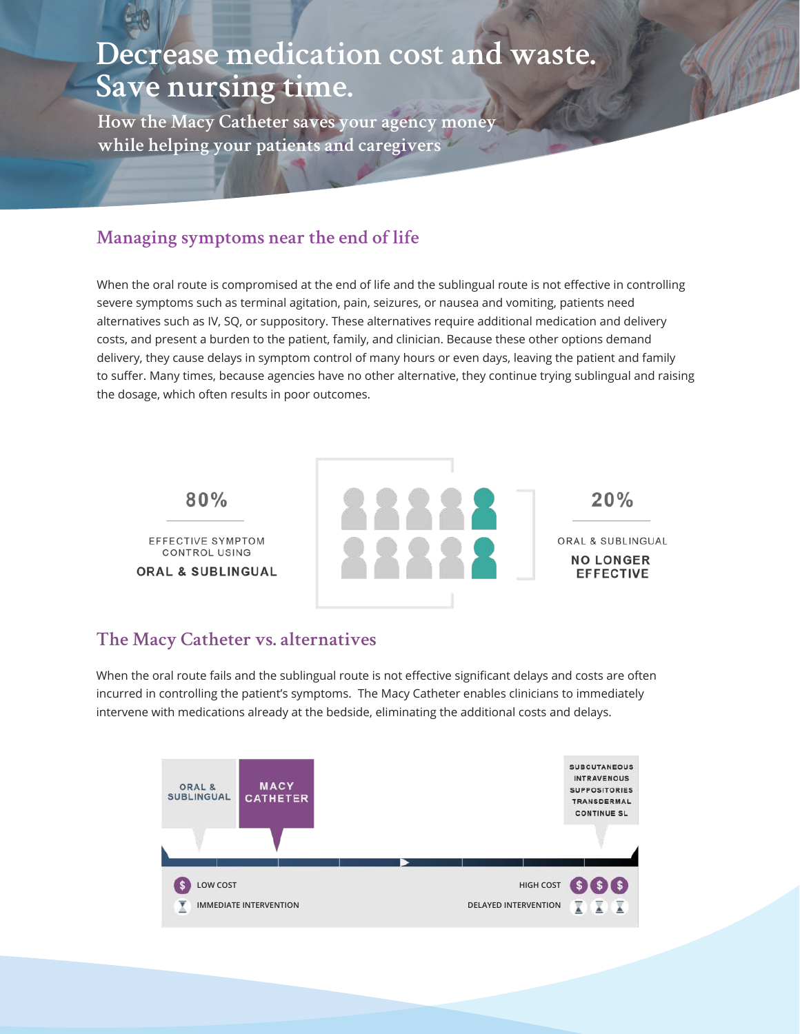# **Decrease medication cost and waste. Save nursing time.**

**How the Macy Catheter saves your agency money while helping your patients and caregivers**

### **Managing symptoms near the end of life**

When the oral route is compromised at the end of life and the sublingual route is not effective in controlling severe symptoms such as terminal agitation, pain, seizures, or nausea and vomiting, patients need alternatives such as IV, SQ, or suppository. These alternatives require additional medication and delivery costs, and present a burden to the patient, family, and clinician. Because these other options demand delivery, they cause delays in symptom control of many hours or even days, leaving the patient and family to suffer. Many times, because agencies have no other alternative, they continue trying sublingual and raising the dosage, which often results in poor outcomes.



#### **The Macy Catheter vs. alternatives**

When the oral route fails and the sublingual route is not effective significant delays and costs are often incurred in controlling the patient's symptoms. The Macy Catheter enables clinicians to immediately intervene with medications already at the bedside, eliminating the additional costs and delays.